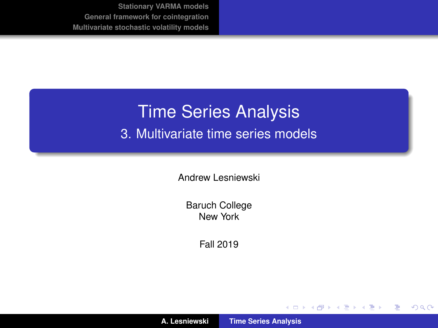# <span id="page-0-0"></span>Time Series Analysis

3. Multivariate time series models

Andrew Lesniewski

Baruch College New York

Fall 2019

(ロトス個) (運) (運)

 $299$ 

重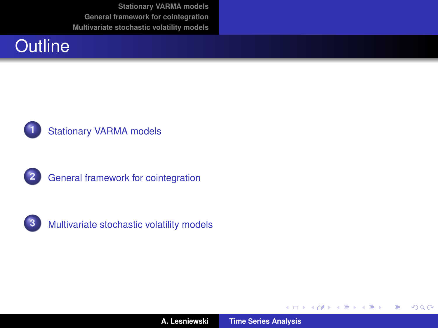



#### **1** [Stationary VARMA models](#page-2-0)



**2** [General framework for cointegration](#page-30-0)



**3** [Multivariate stochastic volatility models](#page-50-0)

(ロトス個) (運) (運)

 $299$ 

重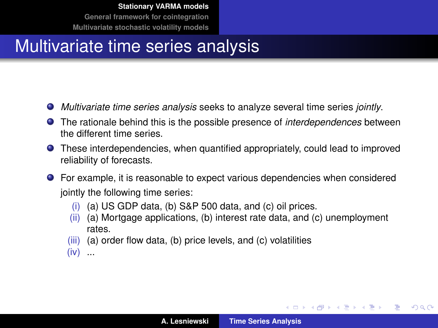#### <span id="page-2-0"></span>Multivariate time series analysis

- *Multivariate time series analysis* seeks to analyze several time series *jointly*.
- The rationale behind this is the possible presence of *interdependences* between the different time series.
- These interdependencies, when quantified appropriately, could lead to improved reliability of forecasts.
- For example, it is reasonable to expect various dependencies when considered jointly the following time series:
	- (i) (a) US GDP data, (b) S&P 500 data, and (c) oil prices.
	- (ii) (a) Mortgage applications, (b) interest rate data, and (c) unemployment rates.
	- (iii) (a) order flow data, (b) price levels, and (c) volatilities
	- $(iv)$  ...

イロメ イ部メ イヨメ イヨメー

重

 $298$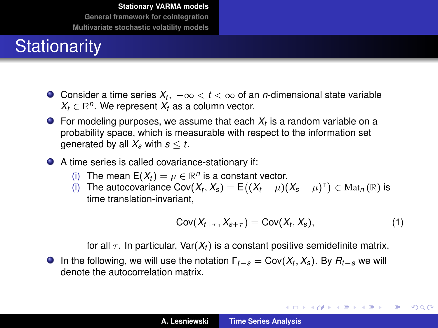## **Stationarity**

- Consider a time series  $X_t,~-\infty < t < \infty$  of an *n*-dimensional state variable  $X_t \in \mathbb{R}^n$ . We represent  $X_t$  as a column vector.
- For modeling purposes, we assume that each *X<sup>t</sup>* is a random variable on a probability space, which is measurable with respect to the information set aenerated by all  $X_s$  with  $s \leq t$ .
- A time series is called covariance-stationary if:
	- (i) The mean  $E(X_t) = \mu \in \mathbb{R}^n$  is a constant vector.
	- (i) The autocovariance  $Cov(X_t, X_s) = E((X_t \mu)(X_s \mu)^T) \in Mat_n(\mathbb{R})$  is time translation-invariant,

$$
Cov(X_{t+\tau}, X_{s+\tau}) = Cov(X_t, X_s), \qquad (1)
$$

イロメ イ部メ イヨメ イヨメー

重

 $298$ 

for all  $\tau$ . In particular, Var( $X_t$ ) is a constant positive semidefinite matrix.

In the following, we will use the notation  $\Gamma_{t-s} = \text{Cov}(X_t, X_s)$ . By  $R_{t-s}$  we will denote the autocorrelation matrix.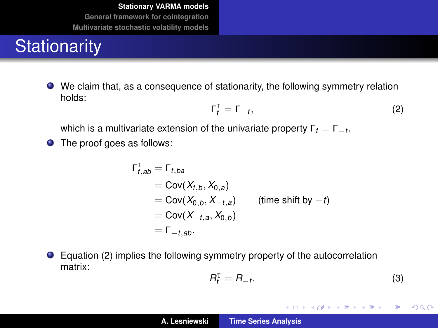## **Stationarity**

We claim that, as a consequence of stationarity, the following symmetry relation holds:

<span id="page-4-0"></span>
$$
\Gamma_t^{\mathrm{T}} = \Gamma_{-t},\tag{2}
$$

which is a multivariate extension of the univariate property  $\Gamma_t = \Gamma_{-t}.$ 

● The proof goes as follows:

$$
\Gamma_{t,ab}^{\mathrm{T}} = \Gamma_{t,ba}
$$
  
= Cov(X<sub>t,b</sub>, X<sub>0,a</sub>)  
= Cov(X<sub>0,b</sub>, X<sub>-t,a</sub>) (time shift by -t)  
= Cov(X<sub>-t,a</sub>, X<sub>0,b</sub>)  
=  $\Gamma_{-t,ab}$ .

● Equation [\(2\)](#page-4-0) implies the following symmetry property of the autocorrelation matrix:

$$
R_t^{\mathrm{T}} = R_{-t}.\tag{3}
$$

イロメ イ団メ イヨメ イヨメー

重

 $299$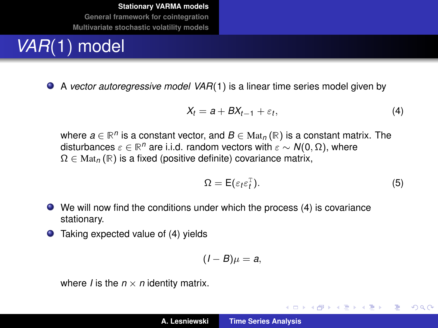## *VAR*(1) model

A *vector autoregressive model VAR*(1) is a linear time series model given by

<span id="page-5-0"></span>
$$
X_t = a + BX_{t-1} + \varepsilon_t, \tag{4}
$$

where  $a \in \mathbb{R}^n$  is a constant vector, and  $B \in \text{Mat}_n(\mathbb{R})$  is a constant matrix. The disturbances  $\varepsilon \in \mathbb{R}^n$  are i.i.d. random vectors with  $\varepsilon \sim \mathcal{N}(0, \Omega)$ , where  $\Omega \in \text{Mat}_n(\mathbb{R})$  is a fixed (positive definite) covariance matrix,

$$
\Omega = \mathsf{E}(\varepsilon_t \varepsilon_t^{\mathrm{T}}). \tag{5}
$$

イロメ イ部メ イヨメ イヨメー

重

 $2Q$ 

- We will now find the conditions under which the process [\(4\)](#page-5-0) is covariance stationary.
- $\bullet$  Taking expected value of [\(4\)](#page-5-0) yields

$$
(I-B)\mu=a,
$$

where *I* is the  $n \times n$  identity matrix.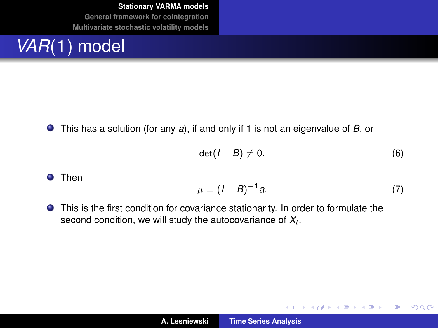## *VAR*(1) model

This has a solution (for any *a*), if and only if 1 is not an eigenvalue of *B*, or

$$
\det(I-B)\neq 0. \tag{6}
$$

Then

<span id="page-6-0"></span>
$$
\mu = (I - B)^{-1} a. \tag{7}
$$

イロメ イ部メ イヨメ イヨメー

 $299$ 

重

This is the first condition for covariance stationarity. In order to formulate the second condition, we will study the autocovariance of *X<sup>t</sup>* .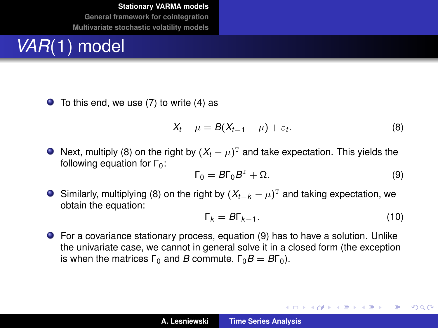## *VAR*(1) model

 $\bullet$  To this end, we use [\(7\)](#page-6-0) to write [\(4\)](#page-5-0) as

<span id="page-7-0"></span>
$$
X_t - \mu = B(X_{t-1} - \mu) + \varepsilon_t.
$$
 (8)

Next, multiply [\(8\)](#page-7-0) on the right by  $(X_t - \mu)^\text{\tiny T}$  and take expectation. This yields the following equation for  $\Gamma_0$ :

<span id="page-7-1"></span>
$$
\Gamma_0 = B\Gamma_0 B^{\mathrm{T}} + \Omega. \tag{9}
$$

Similarly, multiplying [\(8\)](#page-7-0) on the right by  $(X_{t-k} - \mu)^T$  and taking expectation, we obtain the equation:

<span id="page-7-2"></span>
$$
\Gamma_k = B\Gamma_{k-1}.\tag{10}
$$

イロメ イ団メ イヨメ イヨメー

ミー  $2Q$ 

For a covariance stationary process, equation [\(9\)](#page-7-1) has to have a solution. Unlike the univariate case, we cannot in general solve it in a closed form (the exception is when the matrices  $Γ_0$  and *B* commute,  $Γ_0B = BΓ_0$ ).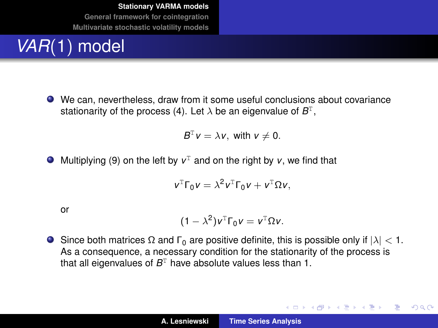## *VAR*(1) model

We can, nevertheless, draw from it some useful conclusions about covariance stationarity of the process [\(4\)](#page-5-0). Let  $\lambda$  be an eigenvalue of  $B^{\text{T}}$ ,

$$
B^{\mathrm{T}}v=\lambda v,\text{ with }v\neq 0.
$$

Multiplying [\(9\)](#page-7-1) on the left by  $v^T$  and on the right by  $v$ , we find that

$$
v^{\mathrm{T}}\Gamma_0v=\lambda^2v^{\mathrm{T}}\Gamma_0v+v^{\mathrm{T}}\Omega v,
$$

or

$$
(1 - \lambda^2) v^{\mathrm{T}} \Gamma_0 v = v^{\mathrm{T}} \Omega v.
$$

Since both matrices  $\Omega$  and  $\Gamma_0$  are positive definite, this is possible only if  $|\lambda| < 1$ . As a consequence, a necessary condition for the stationarity of the process is that all eigenvalues of  $B<sup>T</sup>$  have absolute values less than 1.

イロメ イ部メ イヨメ イヨメー

 $299$ ÷.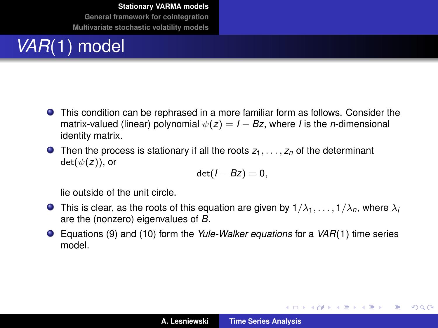## *VAR*(1) model

- This condition can be rephrased in a more familiar form as follows. Consider the matrix-valued (linear) polynomial  $\psi(z) = I - Bz$ , where *I* is the *n*-dimensional identity matrix.
- **O** Then the process is stationary if all the roots  $z_1, \ldots, z_n$  of the determinant  $det(\psi(z))$ , or

$$
\det(I-Bz)=0,
$$

lie outside of the unit circle.

- **This is clear, as the roots of this equation are given by**  $1/\lambda_1, \ldots, 1/\lambda_n$ **, where**  $\lambda_i$ are the (nonzero) eigenvalues of *B*.
- Equations [\(9\)](#page-7-1) and [\(10\)](#page-7-2) form the *Yule-Walker equations* for a *VAR*(1) time series model.

イロメ イ団メ イヨメ イヨメー

重。  $298$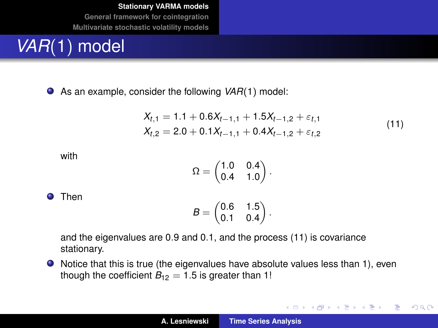## *VAR*(1) model

As an example, consider the following *VAR*(1) model:

$$
X_{t,1} = 1.1 + 0.6X_{t-1,1} + 1.5X_{t-1,2} + \varepsilon_{t,1}
$$
  
\n
$$
X_{t,2} = 2.0 + 0.1X_{t-1,1} + 0.4X_{t-1,2} + \varepsilon_{t,2}
$$
\n(11)

イロメ イ部メ イ君メ イ君メー

 $E = \Omega Q$ 

<span id="page-10-0"></span>with

$$
\Omega = \begin{pmatrix} 1.0 & 0.4 \\ 0.4 & 1.0 \end{pmatrix}.
$$

**O** Then

$$
B=\begin{pmatrix} 0.6 & 1.5 \\ 0.1 & 0.4 \end{pmatrix}.
$$

and the eigenvalues are 0.9 and 0.1, and the process [\(11\)](#page-10-0) is covariance stationary.

Notice that this is true (the eigenvalues have absolute values less than 1), even though the coefficient  $B_{12} = 1.5$  is greater than 1!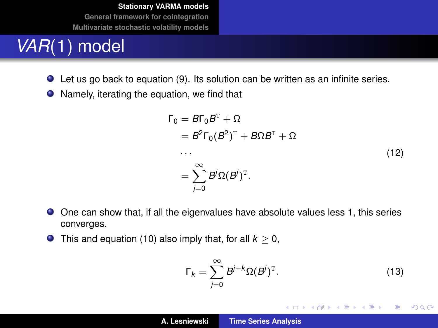## *VAR*(1) model

- Let us go back to equation [\(9\)](#page-7-1). Its solution can be written as an infinite series.
- Namely, iterating the equation, we find that

$$
\Gamma_0 = B\Gamma_0 B^T + \Omega
$$
  
=  $B^2 \Gamma_0 (B^2)^T + B\Omega B^T + \Omega$   
...  
=  $\sum_{j=0}^{\infty} B^j \Omega (B^j)^T$ . (12)

- One can show that, if all the eigenvalues have absolute values less 1, this series converges.
- **O** This and equation [\(10\)](#page-7-2) also imply that, for all  $k > 0$ ,

$$
\Gamma_k = \sum_{j=0}^{\infty} B^{j+k} \Omega(B^j)^{\mathrm{T}}.
$$
 (13)

イロメ イ団メ イヨメ イヨメー

高山  $299$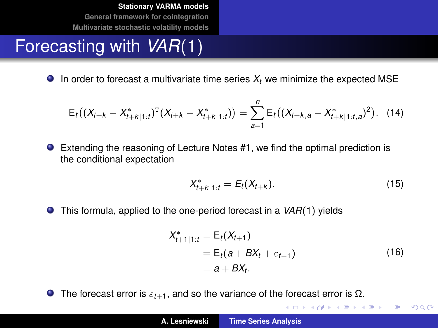#### Forecasting with *VAR*(1)

 $\bullet$  In order to forecast a multivariate time series  $X_t$  we minimize the expected MSE

$$
E_t\big((X_{t+k}-X_{t+k|1:t}^*)^T(X_{t+k}-X_{t+k|1:t}^*)\big)=\sum_{a=1}^n E_t\big((X_{t+k,a}-X_{t+k|1:t,a}^*)^2\big).
$$
 (14)

Extending the reasoning of Lecture Notes #1, we find the optimal prediction is the conditional expectation

$$
X_{t+k|1:t}^* = E_t(X_{t+k}).
$$
\n(15)

● This formula, applied to the one-period forecast in a *VAR*(1) yields

$$
X_{t+1|1:t}^* = E_t(X_{t+1})
$$
  
=  $E_t(a + BX_t + \varepsilon_{t+1})$   
=  $a + BX_t$ . (16)

イロメ イ部メ イヨメ イヨメー

重

 $299$ 

**The forecast error is**  $\varepsilon_{t+1}$ **, and so the variance of the forecast error is**  $\Omega$ **.**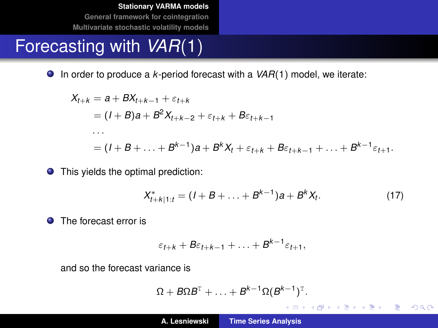#### Forecasting with *VAR*(1)

● In order to produce a *k*-period forecast with a *VAR*(1) model, we iterate:

$$
X_{t+k} = a + BX_{t+k-1} + \varepsilon_{t+k}
$$
  
=  $(I + B)a + B^2 X_{t+k-2} + \varepsilon_{t+k} + B\varepsilon_{t+k-1}$   

$$
\dots
$$
  
=  $(I + B + \dots + B^{k-1})a + B^k X_t + \varepsilon_{t+k} + B\varepsilon_{t+k-1} + \dots + B^{k-1}\varepsilon_{t+1}.$ 

● This yields the optimal prediction:

$$
X_{t+k|1:t}^* = (I + B + \ldots + B^{k-1})a + B^k X_t.
$$
 (17)

イロメ イ団メ イヨメ イヨメー

重

 $299$ 

**O** The forecast error is

$$
\varepsilon_{t+k} + B\varepsilon_{t+k-1} + \ldots + B^{k-1}\varepsilon_{t+1},
$$

and so the forecast variance is

$$
\Omega+B\Omega B^{T}+\ldots+B^{k-1}\Omega(B^{k-1})^{T}.
$$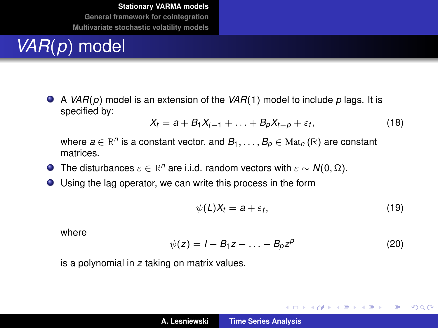## *VAR*(*p*) model

A *VAR*(*p*) model is an extension of the *VAR*(1) model to include *p* lags. It is specified by:

<span id="page-14-0"></span>
$$
X_t = a + B_1 X_{t-1} + \ldots + B_p X_{t-p} + \varepsilon_t, \qquad (18)
$$

where  $a \in \mathbb{R}^n$  is a constant vector, and  $B_1, \ldots, B_p \in \text{Mat}_n(\mathbb{R})$  are constant matrices.

- The disturbances  $\varepsilon \in \mathbb{R}^n$  are i.i.d. random vectors with  $\varepsilon \sim N(0, \Omega)$ .
- Using the lag operator, we can write this process in the form

$$
\psi(L)X_t = a + \varepsilon_t, \tag{19}
$$

イロトメ団トメミトメミト

重し  $2990$ 

where

$$
\psi(z) = I - B_1 z - \ldots - B_p z^p \tag{20}
$$

is a polynomial in *z* taking on matrix values.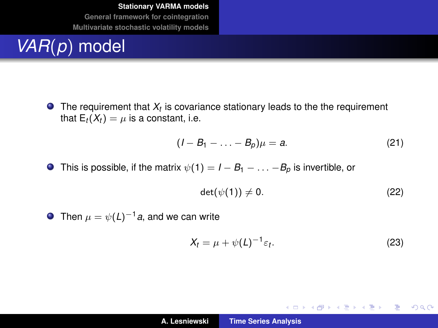## *VAR*(*p*) model

The requirement that  $X_t$  is covariance stationary leads to the the requirement that  $E_t(X_t) = \mu$  is a constant, i.e.

$$
(I-B_1-\ldots-B_p)\mu=a.\t(21)
$$

**O** This is possible, if the matrix  $\psi(1) = I - B_1 - \ldots - B_p$  is invertible, or

$$
\det(\psi(1)) \neq 0. \tag{22}
$$

**O** Then  $\mu = \psi(L)^{-1}a$ , and we can write

$$
X_t = \mu + \psi(L)^{-1} \varepsilon_t.
$$
 (23)

イロトメ 御 トメ き トメ き トー

 $E = \Omega Q$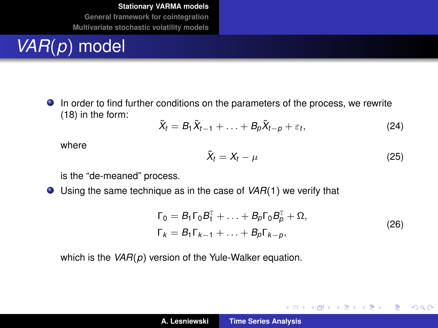## *VAR*(*p*) model

In order to find further conditions on the parameters of the process, we rewrite [\(18\)](#page-14-0) in the form:

$$
\tilde{X}_t = B_1 \tilde{X}_{t-1} + \ldots + B_p \tilde{X}_{t-p} + \varepsilon_t, \tag{24}
$$

where

$$
\tilde{X}_t = X_t - \mu \tag{25}
$$

イロメ イ部メ イヨメ イヨメー

 $299$ 

重

is the "de-meaned" process.

Using the same technique as in the case of *VAR*(1) we verify that

$$
\Gamma_0 = B_1 \Gamma_0 B_1^{\mathrm{T}} + \ldots + B_p \Gamma_0 B_p^{\mathrm{T}} + \Omega,
$$
  
\n
$$
\Gamma_k = B_1 \Gamma_{k-1} + \ldots + B_p \Gamma_{k-p},
$$
\n(26)

which is the *VAR*(*p*) version of the Yule-Walker equation.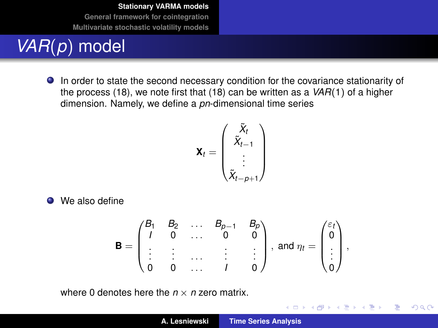## *VAR*(*p*) model

In order to state the second necessary condition for the covariance stationarity of the process [\(18\)](#page-14-0), we note first that [\(18\)](#page-14-0) can be written as a *VAR*(1) of a higher dimension. Namely, we define a *pn*-dimensional time series

$$
\mathbf{X}_{t} = \begin{pmatrix} \tilde{X}_{t} \\ \tilde{X}_{t-1} \\ \vdots \\ \tilde{X}_{t-p+1} \end{pmatrix}
$$

**O** We also define

$$
\mathbf{B} = \begin{pmatrix} B_1 & B_2 & \dots & B_{p-1} & B_p \\ I & 0 & \dots & 0 & 0 \\ \vdots & \vdots & \dots & \vdots & \vdots \\ 0 & 0 & \dots & I & 0 \end{pmatrix}, \text{ and } \eta_t = \begin{pmatrix} \varepsilon_t \\ 0 \\ \vdots \\ 0 \end{pmatrix},
$$

where 0 denotes here the  $n \times n$  zero matrix.

イロメ イ部メ イヨメ イヨメー

 $299$ 

重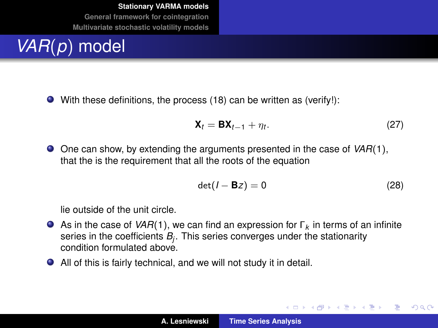## *VAR*(*p*) model

With these definitions, the process [\(18\)](#page-14-0) can be written as (verify!):

$$
\mathbf{X}_t = \mathbf{B} \mathbf{X}_{t-1} + \eta_t. \tag{27}
$$

One can show, by extending the arguments presented in the case of *VAR*(1), that the is the requirement that all the roots of the equation

$$
\det(I - \mathbf{B}z) = 0 \tag{28}
$$

イロメ イ部メ イ君メ イ君メー

Þ  $2Q$ 

lie outside of the unit circle.

- As in the case of *VAR*(1), we can find an expression for Γ*<sup>k</sup>* in terms of an infinite series in the coefficients *B<sup>j</sup>* . This series converges under the stationarity condition formulated above.
- All of this is fairly technical, and we will not study it in detail.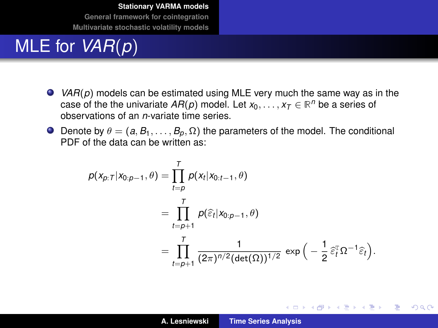#### MLE for *VAR*(*p*)

- *VAR*(*p*) models can be estimated using MLE very much the same way as in the case of the the univariate  $AR(p)$  model. Let  $x_0, \ldots, x_T \in \mathbb{R}^n$  be a series of observations of an *n*-variate time series.
- **O** Denote by  $\theta = (a, B_1, \ldots, B_p, \Omega)$  the parameters of the model. The conditional PDF of the data can be written as:

$$
\rho(x_{p:T}|x_{0:p-1},\theta) = \prod_{t=p}^{T} \rho(x_t|x_{0:t-1},\theta)
$$
  
= 
$$
\prod_{t=p+1}^{T} \rho(\widehat{\varepsilon}_t|x_{0:p-1},\theta)
$$
  
= 
$$
\prod_{t=p+1}^{T} \frac{1}{(2\pi)^{n/2}(\det(\Omega))^{1/2}} \exp\left(-\frac{1}{2}\widehat{\varepsilon}_t^T\Omega^{-1}\widehat{\varepsilon}_t\right).
$$

イロメ イ団メ イヨメ イヨメー

重

 $298$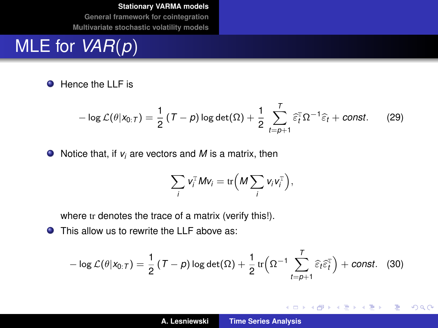#### MLE for *VAR*(*p*)

**O** Hence the LLF is

$$
-\log\mathcal{L}(\theta|\mathsf{x}_{0:T})=\frac{1}{2}\left(T-p\right)\log\det(\Omega)+\frac{1}{2}\sum_{t=p+1}^{T}\widehat{\varepsilon}_{t}^{T}\Omega^{-1}\widehat{\varepsilon}_{t}+\text{const.}
$$
 (29)

● Notice that, if *v<sub>i</sub>* are vectors and *M* is a matrix, then

$$
\sum_i v_i^{\mathrm{T}} M v_i = \mathrm{tr}\Big(M \sum_i v_i v_i^{\mathrm{T}}\Big),\,
$$

where tr denotes the trace of a matrix (verify this!).

 $\bullet$ This allow us to rewrite the LLF above as:

$$
-\log\mathcal{L}(\theta|\mathsf{x}_{0:T})=\frac{1}{2}\left(T-p\right)\log\det(\Omega)+\frac{1}{2}\operatorname{tr}\left(\Omega^{-1}\sum_{t=p+1}^{T}\widehat{\varepsilon}_{t}\widehat{\varepsilon}_{t}^{\mathrm{T}}\right)+const.
$$
 (30)

イロメ イ部メ イ君メ イ君メー

 $299$ 重。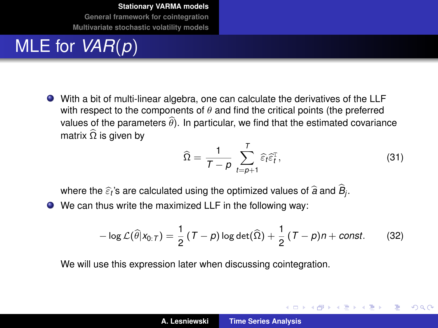#### MLE for *VAR*(*p*)

With a bit of multi-linear algebra, one can calculate the derivatives of the LLF with respect to the components of  $\theta$  and find the critical points (the preferred values of the parameters  $\widehat{\theta}$ ). In particular, we find that the estimated covariance matrix  $\widehat{\Omega}$  is given by

$$
\widehat{\Omega} = \frac{1}{T - \rho} \sum_{t = \rho + 1}^{T} \widehat{\varepsilon}_t \widehat{\varepsilon}_t^{\mathrm{T}},
$$
\n(31)

イロメ イ部メ イヨメ イヨメー

 $QQQ$ Þ

where the  $\widehat{\varepsilon}_t$ 's are calculated using the optimized values of  $\widehat{a}$  and  $B_j$ .<br>...

We can thus write the maximized LLF in the following way:

$$
-\log\mathcal{L}(\widehat{\theta}|x_{0:T})=\frac{1}{2}\left(T-p\right)\log\det(\widehat{\Omega})+\frac{1}{2}\left(T-p\right)n+const.\hspace{1cm}(32)
$$

We will use this expression later when discussing cointegration.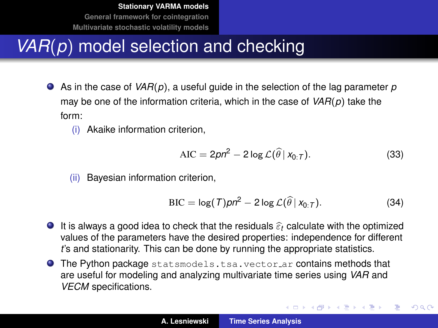## *VAR*(*p*) model selection and checking

- As in the case of *VAR*(*p*), a useful guide in the selection of the lag parameter *p* may be one of the information criteria, which in the case of *VAR*(*p*) take the form:
	- (i) Akaike information criterion,

$$
AIC = 2pn^2 - 2\log \mathcal{L}(\widehat{\theta} \mid x_{0:T}).
$$
\n(33)

(ii) Bayesian information criterion,

$$
\text{BIC} = \log(T)pn^2 - 2\log\mathcal{L}(\widehat{\theta} \mid x_{0:T}). \tag{34}
$$

イロメ イ部メ イ君メ イ君メー

 $2Q$ 

- **I** It is always a good idea to check that the residuals  $\hat{\epsilon}$  calculate with the optimized values of the parameters have the desired properties: independence for different *t*'s and stationarity. This can be done by running the appropriate statistics.
- **O** The Python package statsmodels.tsa.vector\_ar contains methods that are useful for modeling and analyzing multivariate time series using *VAR* and *VECM* specifications.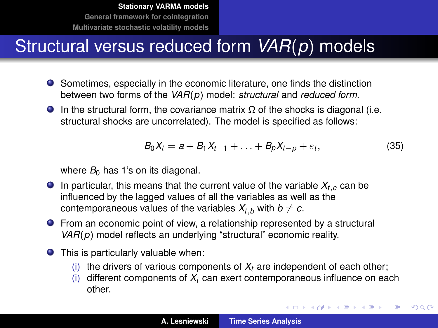## Structural versus reduced form *VAR*(*p*) models

- Sometimes, especially in the economic literature, one finds the distinction between two forms of the *VAR*(*p*) model: *structural* and *reduced form*.
- In the structural form, the covariance matrix  $\Omega$  of the shocks is diagonal (i.e. structural shocks are uncorrelated). The model is specified as follows:

<span id="page-23-0"></span>
$$
B_0X_t = a + B_1X_{t-1} + \ldots + B_pX_{t-p} + \varepsilon_t, \qquad (35)
$$

イロメ イ部メ イヨメ イヨメー

÷,

 $299$ 

where  $B_0$  has 1's on its diagonal.

- **In particular, this means that the current value of the variable**  $X_{t,c}$  **can be** influenced by the lagged values of all the variables as well as the contemporaneous values of the variables  $X_t$ , with  $b \neq c$ .
- **•** From an economic point of view, a relationship represented by a structural *VAR*(*p*) model reflects an underlying "structural" economic reality.
- This is particularly valuable when:
	- (i) the drivers of various components of  $X_t$  are independent of each other;
	- (i) different components of  $X_t$  can exert contemporaneous influence on each other.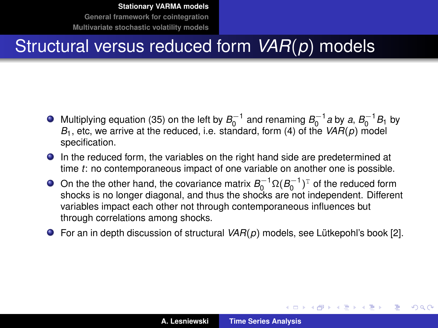#### Structural versus reduced form *VAR*(*p*) models

- Multiplying equation [\(35\)](#page-23-0) on the left by  $B_0^{-1}$  and renaming  $B_0^{-1}$  a by a,  $B_0^{-1}B_1$  by  $B_1$ , etc, we arrive at the reduced, i.e. standard, form [\(4\)](#page-5-0) of the  $VAR(p)$  model specification.
- In the reduced form, the variables on the right hand side are predetermined at time *t*: no contemporaneous impact of one variable on another one is possible.
- On the the other hand, the covariance matrix  $B_0^{-1} \Omega (B_0^{-1})^T$  of the reduced form shocks is no longer diagonal, and thus the shocks are not independent. Different variables impact each other not through contemporaneous influences but through correlations among shocks.
- For an in depth discussion of structural *VAR*(*p*) models, see Lutkepohl's book [\[2\]](#page-56-1). ¨

イロメ イ部メ イヨメ イヨメー

 $2Q$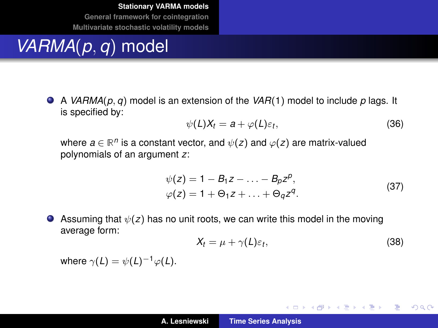### *VARMA*(*p*, *q*) model

A *VARMA*(*p*, *q*) model is an extension of the *VAR*(1) model to include *p* lags. It is specified by:

$$
\psi(L)X_t = a + \varphi(L)\varepsilon_t, \qquad (36)
$$

where  $a \in \mathbb{R}^n$  is a constant vector, and  $\psi(z)$  and  $\varphi(z)$  are matrix-valued polynomials of an argument *z*:

$$
\psi(z) = 1 - B_1 z - \dots - B_p z^p,\n\varphi(z) = 1 + \Theta_1 z + \dots + \Theta_q z^q.
$$
\n(37)

Assuming that  $\psi(z)$  has no unit roots, we can write this model in the moving average form:

$$
X_t = \mu + \gamma(L)\varepsilon_t, \tag{38}
$$

イロメ イ部メ イ君メ イ君メー

 $E = \Omega Q$ 

where  $\gamma(L) = \psi(L)^{-1} \varphi(L)$ .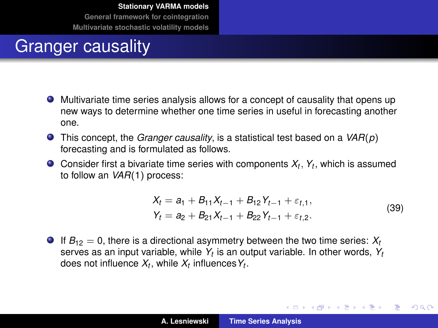#### Granger causality

- Multivariate time series analysis allows for a concept of causality that opens up new ways to determine whether one time series in useful in forecasting another one.
- This concept, the *Granger causality*, is a statistical test based on a *VAR*(*p*) forecasting and is formulated as follows.
- Consider first a bivariate time series with components *X<sup>t</sup>* , *Y<sup>t</sup>* , which is assumed to follow an *VAR*(1) process:

$$
X_{t} = a_{1} + B_{11}X_{t-1} + B_{12}Y_{t-1} + \varepsilon_{t,1},
$$
  
\n
$$
Y_{t} = a_{2} + B_{21}X_{t-1} + B_{22}Y_{t-1} + \varepsilon_{t,2}.
$$
\n(39)

イロメ イ部メ イ君メ イ君メー

 $299$ 

Þ

<span id="page-26-0"></span>If  $B_{12} = 0$ , there is a directional asymmetry between the two time series:  $X_t$ serves as an input variable, while *Y<sup>t</sup>* is an output variable. In other words, *Y<sup>t</sup>* does not influence  $X_t$ , while  $X_t$  influences  $Y_t$ .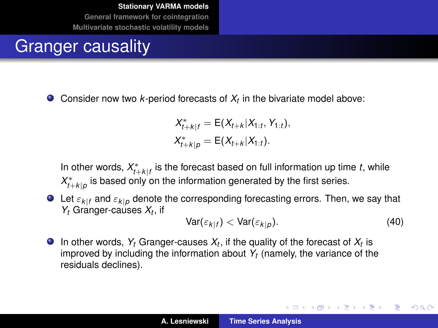#### Granger causality

 $\bullet$ Consider now two *k*-period forecasts of *X<sup>t</sup>* in the bivariate model above:

$$
X_{t+k|f}^* = \mathsf{E}(X_{t+k}|X_{1:t}, Y_{1:t}),
$$
  

$$
X_{t+k|p}^* = \mathsf{E}(X_{t+k}|X_{1:t}).
$$

In other words,  $X^*_{t+k|f}$  is the forecast based on full information up time *t*, while  $X^*_{t+k|p}$  is based only on the information generated by the first series.

 $\bullet$  Let  $\varepsilon_{k|f}$  and  $\varepsilon_{k|p}$  denote the corresponding forecasting errors. Then, we say that *Y<sup>t</sup>* Granger-causes *X<sup>t</sup>* , if

$$
Var(\varepsilon_{k|f}) < Var(\varepsilon_{k|p}).\tag{40}
$$

イロメ イ部メ イヨメ イヨメー

Þ  $2Q$ 

In other words,  $Y_t$  Granger-causes  $X_t$ , if the quality of the forecast of  $X_t$  is improved by including the information about *Y<sup>t</sup>* (namely, the variance of the residuals declines).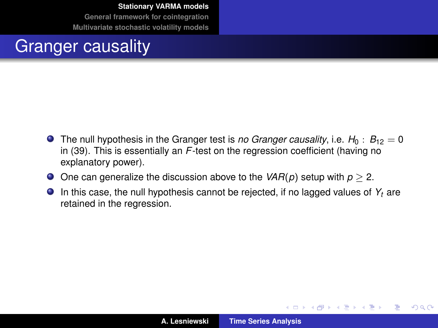#### Granger causality

- **•** The null hypothesis in the Granger test is *no Granger causality*, i.e.  $H_0$ :  $B_{12} = 0$ in [\(39\)](#page-26-0). This is essentially an *F*-test on the regression coefficient (having no explanatory power).
- One can generalize the discussion above to the  $VAR(p)$  setup with  $p \geq 2$ .
- In this case, the null hypothesis cannot be rejected, if no lagged values of  $Y_t$  are retained in the regression.

イロメ イ部メ イ君メ イ君メー

 $299$ 

Þ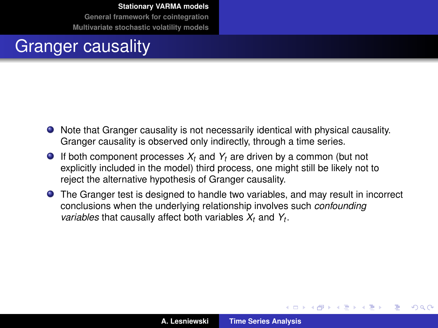#### Granger causality

- Note that Granger causality is not necessarily identical with physical causality. Granger causality is observed only indirectly, through a time series.
- $\bullet$  If both component processes  $X_t$  and  $Y_t$  are driven by a common (but not explicitly included in the model) third process, one might still be likely not to reject the alternative hypothesis of Granger causality.
- The Granger test is designed to handle two variables, and may result in incorrect conclusions when the underlying relationship involves such *confounding variables* that causally affect both variables *X<sup>t</sup>* and *Y<sup>t</sup>* .

イロメ イ部メ イ君メ イ君メー

 $QQ$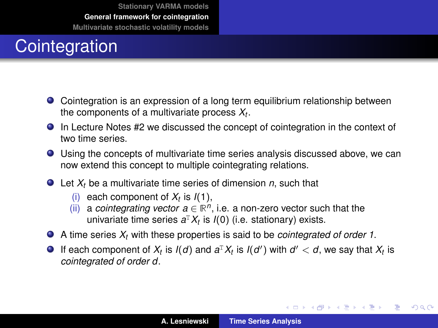## <span id="page-30-0"></span>**Cointegration**

- Cointegration is an expression of a long term equilibrium relationship between the components of a multivariate process *X<sup>t</sup>* .
- In Lecture Notes #2 we discussed the concept of cointegration in the context of two time series.
- Using the concepts of multivariate time series analysis discussed above, we can now extend this concept to multiple cointegrating relations.
- Let *X<sup>t</sup>* be a multivariate time series of dimension *n*, such that
	- (i) each component of  $X_t$  is  $I(1)$ ,
	- (ii) a *cointegrating vector*  $a \in \mathbb{R}^n$ , i.e. a non-zero vector such that the univariate time series *a* <sup>T</sup>*X<sup>t</sup>* is *I*(0) (i.e. stationary) exists.
- A time series *X<sup>t</sup>* with these properties is said to be *cointegrated of order 1*.
- If each component of  $X_t$  is  $I(d)$  and  $a^T X_t$  is  $I(d')$  with  $d' < d$ , we say that  $X_t$  is *cointegrated of order d*.

(ロトス個) (運) (運)

 $299$ 

Þ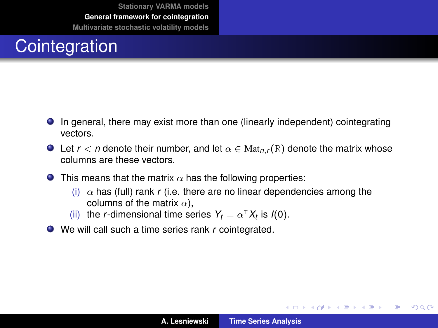## **Cointegration**

- In general, there may exist more than one (linearly independent) cointegrating vectors.
- **O** Let  $r < n$  denote their number, and let  $\alpha \in \text{Mat}_{n,r}(\mathbb{R})$  denote the matrix whose columns are these vectors.
- **O** This means that the matrix  $\alpha$  has the following properties:
	- (i)  $\alpha$  has (full) rank *r* (i.e. there are no linear dependencies among the columns of the matrix  $\alpha$ ),
	- (ii) the *r*-dimensional time series  $Y_t = \alpha^T X_t$  is  $I(0)$ .
- We will call such a time series rank *r* cointegrated.

イロメ イ部メ イ君メ イ君メー

Þ

 $298$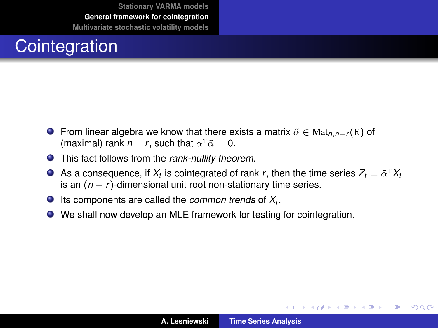## **Cointegration**

- From linear algebra we know that there exists a matrix α˜ ∈ Mat*n*,*n*−*<sup>r</sup>* (R) of (maximal) rank  $n - r$ , such that  $\alpha^T \tilde{\alpha} = 0$ .
- This fact follows from the *rank-nullity theorem*.
- As a consequence, if  $X_t$  is cointegrated of rank  $r$ , then the time series  $Z_t = \tilde{\alpha}^\text{\tiny T} X_t$ is an (*n* − *r* )-dimensional unit root non-stationary time series.
- Its components are called the *common trends* of *X<sup>t</sup>* .
- We shall now develop an MLE framework for testing for cointegration.

(ロトス個) (運) (運)

重

 $298$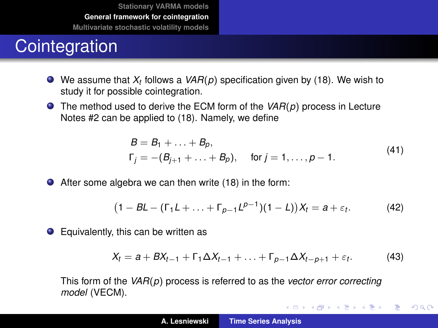#### **Cointegration**

- We assume that *X<sup>t</sup>* follows a *VAR*(*p*) specification given by [\(18\)](#page-14-0). We wish to study it for possible cointegration.
- The method used to derive the ECM form of the *VAR*(*p*) process in Lecture Notes #2 can be applied to [\(18\)](#page-14-0). Namely, we define

$$
B = B_1 + \dots + B_p,
$$
  
\n
$$
\Gamma_j = -(B_{j+1} + \dots + B_p), \quad \text{for } j = 1, \dots, p-1.
$$
\n(41)

After some algebra we can then write [\(18\)](#page-14-0) in the form:

$$
(1-BL-(\Gamma_1L+\ldots+\Gamma_{p-1}L^{p-1})(1-L))X_t=a+\varepsilon_t.
$$
 (42)

● Equivalently, this can be written as

$$
X_t = a + BX_{t-1} + \Gamma_1 \Delta X_{t-1} + \ldots + \Gamma_{p-1} \Delta X_{t-p+1} + \varepsilon_t.
$$
 (43)

イロメ イ部メ イヨメ イヨメー

 $299$ 

重

This form of the *VAR*(*p*) process is referred to as the *vector error correcting model* (VECM).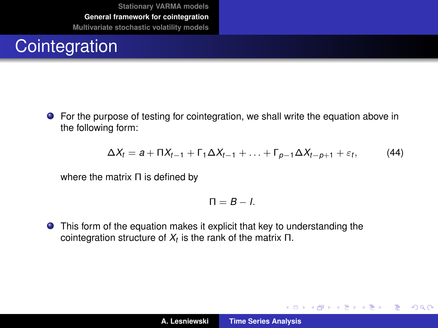## **Cointegration**

For the purpose of testing for cointegration, we shall write the equation above in the following form:

<span id="page-34-0"></span>
$$
\Delta X_t = a + \Pi X_{t-1} + \Gamma_1 \Delta X_{t-1} + \ldots + \Gamma_{p-1} \Delta X_{t-p+1} + \varepsilon_t, \tag{44}
$$

where the matrix Π is defined by

$$
\Pi=B-I.
$$

**•** This form of the equation makes it explicit that key to understanding the cointegration structure of *X<sup>t</sup>* is the rank of the matrix Π.

イロメ イ部メ イヨメ イヨメー

 $299$ 

重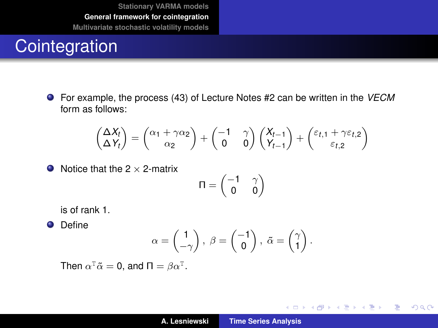#### **Cointegration**

For example, the process (43) of Lecture Notes #2 can be written in the *VECM* form as follows:

$$
\begin{pmatrix} \Delta X_t \\ \Delta Y_t \end{pmatrix} = \begin{pmatrix} \alpha_1 + \gamma \alpha_2 \\ \alpha_2 \end{pmatrix} + \begin{pmatrix} -1 & \gamma \\ 0 & 0 \end{pmatrix} \begin{pmatrix} X_{t-1} \\ Y_{t-1} \end{pmatrix} + \begin{pmatrix} \varepsilon_{t,1} + \gamma \varepsilon_{t,2} \\ \varepsilon_{t,2} \end{pmatrix}
$$

 $\bullet$  Notice that the 2  $\times$  2-matrix

$$
\Pi = \begin{pmatrix} -1 & \gamma \\ 0 & 0 \end{pmatrix}
$$

is of rank 1.

**O** Define

$$
\alpha = \begin{pmatrix} 1 \\ -\gamma \end{pmatrix}, \ \beta = \begin{pmatrix} -1 \\ 0 \end{pmatrix}, \ \tilde{\alpha} = \begin{pmatrix} \gamma \\ 1 \end{pmatrix}.
$$

Then  $\alpha^T \tilde{\alpha} = 0$ , and  $\Pi = \beta \alpha^T$ .

イロメ イ部メ イ君メ イ君メー

重

 $299$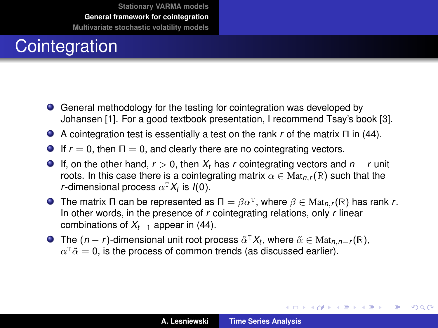## **Cointegration**

- General methodology for the testing for cointegration was developed by Johansen [\[1\]](#page-56-2). For a good textbook presentation, I recommend Tsay's book [\[3\]](#page-56-3).
- A cointegration test is essentially a test on the rank *r* of the matrix Π in [\(44\)](#page-34-0).
- **If**  $r = 0$ , then  $\Pi = 0$ , and clearly there are no cointegrating vectors.
- If, on the other hand, *r* > 0, then *X<sup>t</sup>* has *r* cointegrating vectors and *n* − *r* unit roots. In this case there is a cointegrating matrix  $\alpha \in \text{Mat}_{n,r}(\mathbb{R})$  such that the *r*-dimensional process  $\alpha^T X_t$  is  $I(0)$ .
- The matrix Π can be represented as  $\Pi = \beta \alpha^T$ , where  $\beta \in Mat_{n,r}(\mathbb{R})$  has rank *r*. In other words, in the presence of *r* cointegrating relations, only *r* linear combinations of *Xt*−<sup>1</sup> appear in [\(44\)](#page-34-0).
- The  $(n r)$ -dimensional unit root process  $\tilde{\alpha}^T X_t$ , where  $\tilde{\alpha} \in \text{Mat}_{n,n-r}(\mathbb{R})$ ,  $\alpha^{\text{\tiny T}}\tilde{\alpha}=$  0, is the process of common trends (as discussed earlier).

イロメ イ部メ イヨメ イヨメー

 $299$ 

Þ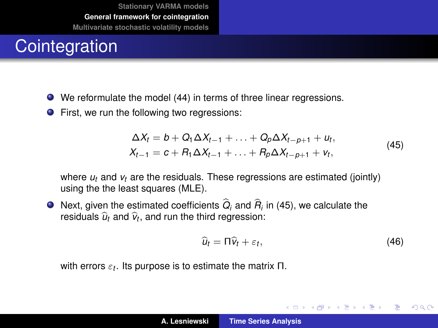#### **Cointegration**

- We reformulate the model [\(44\)](#page-34-0) in terms of three linear regressions.
- First, we run the following two regressions:

$$
\Delta X_t = b + Q_1 \Delta X_{t-1} + \dots + Q_p \Delta X_{t-p+1} + u_t, X_{t-1} = c + R_1 \Delta X_{t-1} + \dots + R_p \Delta X_{t-p+1} + v_t,
$$
\n(45)

<span id="page-37-0"></span>where *u<sup>t</sup>* and *v<sup>t</sup>* are the residuals. These regressions are estimated (jointly) using the the least squares (MLE).

Next, given the estimated coefficients  $Q_i$  and  $R_i$  in [\(45\)](#page-37-0), we calculate the  $\tau$ esiduals  $\widehat{u}_t$  and  $\widehat{\mathsf{v}}_t$ , and run the third regression:

<span id="page-37-1"></span>
$$
\widehat{u}_t = \Pi \widehat{v}_t + \varepsilon_t, \tag{46}
$$

イロメ イ部メ イ君メ イ君メー

 $299$ 

Þ

with errors  $\varepsilon_t$ . Its purpose is to estimate the matrix Π.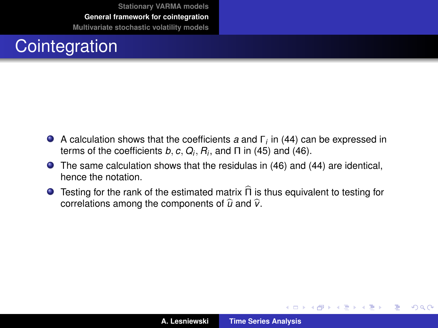## **Cointegration**

- A calculation shows that the coefficients *a* and Γ*<sup>i</sup>* in [\(44\)](#page-34-0) can be expressed in terms of the coefficients  $b, c, Q_i, R_i$ , and  $\Pi$  in [\(45\)](#page-37-0) and [\(46\)](#page-37-1).
- The same calculation shows that the residulas in [\(46\)](#page-37-1) and [\(44\)](#page-34-0) are identical, hence the notation.
- **Testing for the rank of the estimated matrix**  $\widehat{\Pi}$  **is thus equivalent to testing for** correlations among the components of  $\hat{u}$  and  $\hat{v}$ .

(ロトス個) (運) (運)

 $299$ 

Þ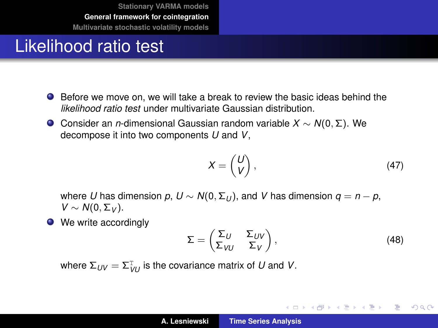#### Likelihood ratio test

- Before we move on, we will take a break to review the basic ideas behind the *likelihood ratio test* under multivariate Gaussian distribution.
- Consider an *n*-dimensional Gaussian random variable *X* ∼ *N*(0, Σ). We decompose it into two components *U* and *V*,

$$
X = \begin{pmatrix} U \\ V \end{pmatrix}, \tag{47}
$$

where *U* has dimension  $p$ ,  $U \sim N(0, \Sigma_U)$ , and *V* has dimension  $q = n - p$ ,  $V$  ∼  $N(0, Σ<sub>V</sub>)$ .

• We write accordingly

$$
\Sigma = \begin{pmatrix} \Sigma_U & \Sigma_{UV} \\ \Sigma_{VU} & \Sigma_V \end{pmatrix}, \tag{48}
$$

イロメ イ部メ イ君メ イ君メー

造っ  $2Q$ 

where  $\Sigma_{UV} = \Sigma_{VU}^\text{T}$  is the covariance matrix of  $U$  and  $V$ .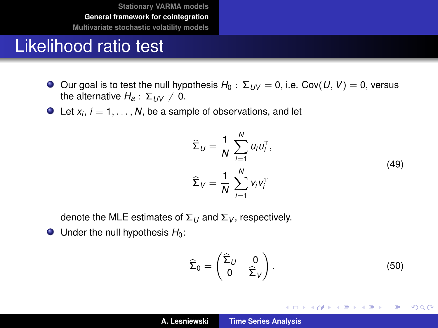#### Likelihood ratio test

- $\bigcirc$  Our goal is to test the null hypothesis *H*<sub>0</sub> : Σ<sub>*UV*</sub> = 0, i.e. Cov(*U*, *V*) = 0, versus the alternative  $H_a: \Sigma_{UV} \neq 0$ .
- Let  $x_i$ ,  $i = 1, \ldots, N$ , be a sample of observations, and let

$$
\widehat{\Sigma}_U = \frac{1}{N} \sum_{i=1}^N u_i u_i^{\mathrm{T}},
$$
\n
$$
\widehat{\Sigma}_V = \frac{1}{N} \sum_{i=1}^N v_i v_i^{\mathrm{T}}
$$
\n(49)

<span id="page-40-0"></span>denote the MLE estimates of  $\Sigma_U$  and  $\Sigma_V$ , respectively.

 $\bullet$  Under the null hypothesis  $H_0$ :

$$
\widehat{\Sigma}_0 = \begin{pmatrix} \widehat{\Sigma}_U & 0 \\ 0 & \widehat{\Sigma}_V \end{pmatrix} . \tag{50}
$$

イロトス 伊 トス 言 トス 言 トー

 $299$ ミー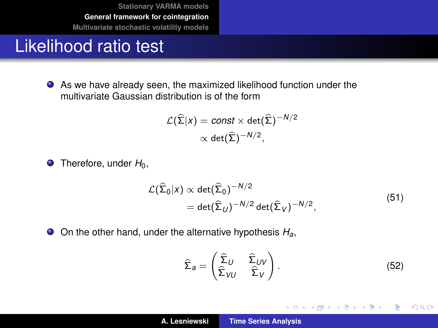#### Likelihood ratio test

As we have already seen, the maximized likelihood function under the multivariate Gaussian distribution is of the form

$$
\mathcal{L}(\widehat{\Sigma}|x) = \text{const} \times \det(\widehat{\Sigma})^{-N/2}
$$

$$
\propto \det(\widehat{\Sigma})^{-N/2},
$$

 $\bullet$  Therefore, under  $H_0$ ,

$$
\mathcal{L}(\widehat{\Sigma}_0|x) \propto \det(\widehat{\Sigma}_0)^{-N/2}
$$
  
= det( $\widehat{\Sigma}_U$ )<sup>-N/2</sup> det( $\widehat{\Sigma}_V$ )<sup>-N/2</sup>, (51)

On the other hand, under the alternative hypothesis *Ha*,

$$
\widehat{\Sigma}_a = \begin{pmatrix} \widehat{\Sigma}_U & \widehat{\Sigma}_{UV} \\ \widehat{\Sigma}_{VU} & \widehat{\Sigma}_V \end{pmatrix} . \tag{52}
$$

イロメ イ部メ イヨメ イヨメー

 $299$ 

重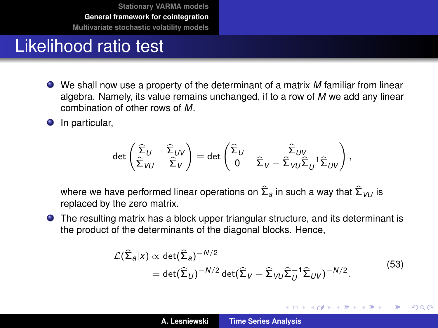#### Likelihood ratio test

- We shall now use a property of the determinant of a matrix *M* familiar from linear algebra. Namely, its value remains unchanged, if to a row of *M* we add any linear combination of other rows of *M*.
- **O** In particular,

$$
\det \begin{pmatrix} \widehat{\Sigma}_U & \widehat{\Sigma}_{UV} \\ \widehat{\Sigma}_{VU} & \widehat{\Sigma}_V \end{pmatrix} = \det \begin{pmatrix} \widehat{\Sigma}_U & \widehat{\Sigma}_{UV} \\ 0 & \widehat{\Sigma}_V - \widehat{\Sigma}_{VU}\widehat{\Sigma}_U^{-1}\widehat{\Sigma}_{UV} \end{pmatrix},
$$

where we have performed linear operations on <sup>Σ</sup>b*<sup>a</sup>* in such a way that <sup>Σ</sup><sup>b</sup> *VU* is replaced by the zero matrix.

The resulting matrix has a block upper triangular structure, and its determinant is the product of the determinants of the diagonal blocks. Hence,

$$
\mathcal{L}(\widehat{\Sigma}_a|x) \propto \det(\widehat{\Sigma}_a)^{-N/2} \n= \det(\widehat{\Sigma}_U)^{-N/2} \det(\widehat{\Sigma}_V - \widehat{\Sigma}_{VU}\widehat{\Sigma}_U^{-1}\widehat{\Sigma}_{UV})^{-N/2}.
$$
\n(53)

イロメ イ部メ イ君メ イ君メー

 $299$ 

Þ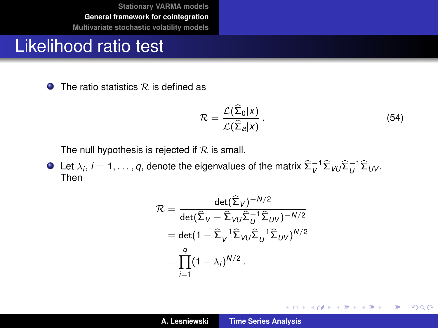#### Likelihood ratio test

 $\bullet$  The ratio statistics R is defined as

$$
\mathcal{R} = \frac{\mathcal{L}(\widehat{\Sigma}_0 | x)}{\mathcal{L}(\widehat{\Sigma}_a | x)}.
$$
\n(54)

イロトメ 御 トメ 君 トメ 君 トー

 $299$ 重。

The null hypothesis is rejected if  $R$  is small.

Let  $\lambda_i$ ,  $i = 1, \ldots, q$ , denote the eigenvalues of the matrix  $\widehat{\Sigma}_V^{-1} \widehat{\Sigma}_{VU} \widehat{\Sigma}_U^{-1} \widehat{\Sigma}_{UV}.$ Then

$$
\mathcal{R} = \frac{\det(\widehat{\Sigma}_V)^{-N/2}}{\det(\widehat{\Sigma}_V - \widehat{\Sigma}_V \nu \widehat{\Sigma}_U^{-1} \widehat{\Sigma}_{UV})^{-N/2}}
$$
  
= det(1 - \widehat{\Sigma}\_V^{-1} \widehat{\Sigma}\_V \nu \widehat{\Sigma}\_U^{-1} \widehat{\Sigma}\_{UV})^{N/2}  
= 
$$
\prod_{i=1}^q (1 - \lambda_i)^{N/2}.
$$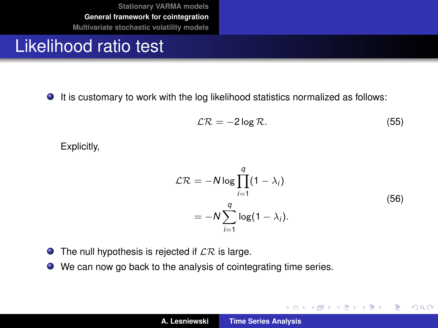#### Likelihood ratio test

It is customary to work with the log likelihood statistics normalized as follows:

$$
\mathcal{LR} = -2\log\mathcal{R}.\tag{55}
$$

Explicitly,

$$
\mathcal{LR} = -N \log \prod_{i=1}^{q} (1 - \lambda_i)
$$
  
= 
$$
-N \sum_{i=1}^{q} \log(1 - \lambda_i).
$$
 (56)

イロメ イ部メ イヨメ イヨメー

 $299$ 

重

- $\bullet$  The null hypothesis is rejected if  $\mathcal{LR}$  is large.
- We can now go back to the analysis of cointegrating time series.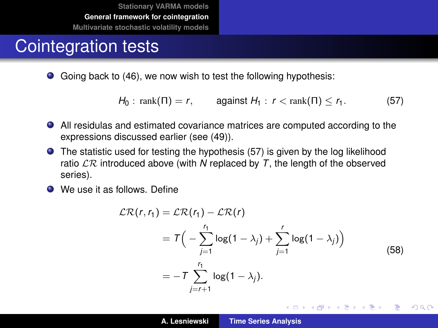#### Cointegration tests

Going back to [\(46\)](#page-37-1), we now wish to test the following hypothesis:

<span id="page-45-0"></span>*H*<sub>0</sub> : rank(Π) = *r*, against *H*<sub>1</sub> : *r* < rank(Π) < *r*<sub>1</sub>. (57)

- All residulas and estimated covariance matrices are computed according to the expressions discussed earlier (see [\(49\)](#page-40-0)).
- The statistic used for testing the hypothesis [\(57\)](#page-45-0) is given by the log likelihood ratio  $\mathcal{LR}$  introduced above (with N replaced by T, the length of the observed series).
- **O** We use it as follows. Define

$$
\mathcal{LR}(r, r_1) = \mathcal{LR}(r_1) - \mathcal{LR}(r)
$$
  
= 
$$
T\Big(-\sum_{j=1}^{r_1} \log(1 - \lambda_j) + \sum_{j=1}^r \log(1 - \lambda_j)\Big)
$$
  
= 
$$
-T\sum_{j=r+1}^{r_1} \log(1 - \lambda_j).
$$
 (58)

K ロ ⊁ K 伊 ⊁ K 君 ⊁ K 君 ⊁ …

 $2990$ ミー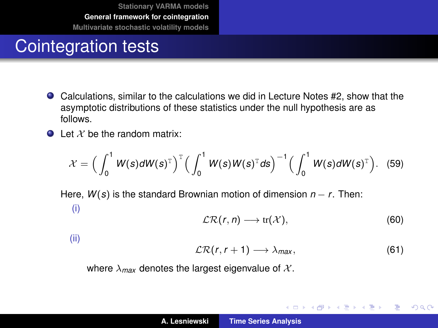#### Cointegration tests

- Calculations, similar to the calculations we did in Lecture Notes #2, show that the asymptotic distributions of these statistics under the null hypothesis are as follows.
- $\bullet$  Let X be the random matrix:

$$
\mathcal{X} = \Big(\int_0^1 W(s) dW(s)^{\mathrm{T}}\Big)^{\mathrm{T}} \Big(\int_0^1 W(s) W(s)^{\mathrm{T}} ds\Big)^{-1} \Big(\int_0^1 W(s) dW(s)^{\mathrm{T}}\Big). \quad (59)
$$

Here, *W*(*s*) is the standard Brownian motion of dimension *n* − *r*. Then: (i)

$$
\mathcal{LR}(r,n)\longrightarrow tr(\mathcal{X}),\qquad \qquad (60)
$$

(ii)

$$
\mathcal{LR}(r,r+1)\longrightarrow\lambda_{max},\qquad \qquad (61)
$$

イロメ イ部メ イヨメ イヨメー

 $299$ 

重

where  $\lambda_{max}$  denotes the largest eigenvalue of  $\mathcal{X}$ .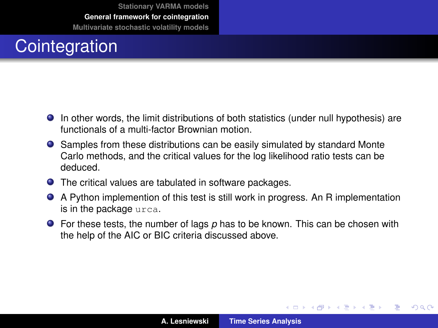## **Cointegration**

- In other words, the limit distributions of both statistics (under null hypothesis) are functionals of a multi-factor Brownian motion.
- Samples from these distributions can be easily simulated by standard Monte Carlo methods, and the critical values for the log likelihood ratio tests can be deduced.
- The critical values are tabulated in software packages.
- A Python implemention of this test is still work in progress. An R implementation is in the package urca.
- **•** For these tests, the number of lags p has to be known. This can be chosen with the help of the AIC or BIC criteria discussed above.

(ロトス個) (運) (運)

 $QQ$ 

Þ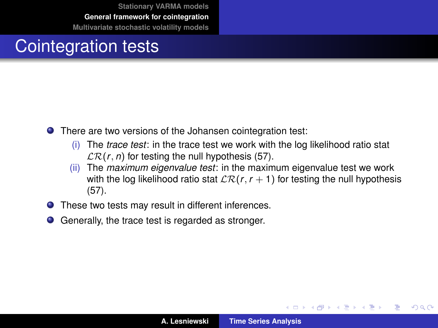#### Cointegration tests

- **•** There are two versions of the Johansen cointegration test:
	- (i) The *trace test*: in the trace test we work with the log likelihood ratio stat  $LR(r, n)$  for testing the null hypothesis [\(57\)](#page-45-0).
	- (ii) The *maximum eigenvalue test*: in the maximum eigenvalue test we work with the log likelihood ratio stat  $\mathcal{LR}(r, r + 1)$  for testing the null hypothesis [\(57\)](#page-45-0).
- **O** These two tests may result in different inferences.
- Generally, the trace test is regarded as stronger.

(ロトス個) (運) (運)

Þ

 $298$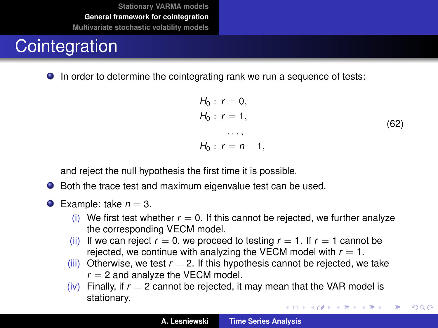## **Cointegration**

**In order to determine the cointegrating rank we run a sequence of tests:** 

$$
H_0: r = 0,H_0: r = 1,...,H_0: r = n - 1,
$$
 (62)

重

 $299$ 

and reject the null hypothesis the first time it is possible.

- Both the trace test and maximum eigenvalue test can be used.
- **Example:** take  $n = 3$ .
	- (i) We first test whether  $r = 0$ . If this cannot be rejected, we further analyze the corresponding VECM model.
	- (ii) If we can reject  $r = 0$ , we proceed to testing  $r = 1$ . If  $r = 1$  cannot be rejected, we continue with analyzing the VECM model with  $r = 1$ .
	- (iii) Otherwise, we test  $r = 2$ . If this hypothesis cannot be rejected, we take  $r = 2$  and analyze the VECM model.
	- (iv) Finally, if  $r = 2$  cannot be rejected, it may mean that the VAR model is stationary. イロメ イ団メ イヨメ イヨメー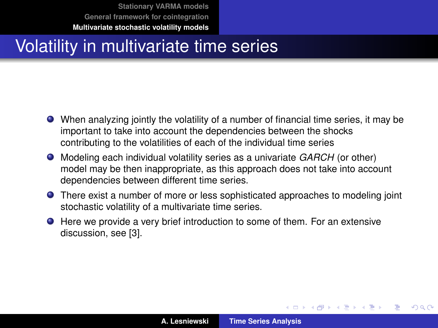**[Stationary VARMA models](#page-2-0) [General framework for cointegration](#page-30-0)**

**[Multivariate stochastic volatility models](#page-50-0)**

#### <span id="page-50-0"></span>Volatility in multivariate time series

- When analyzing jointly the volatility of a number of financial time series, it may be important to take into account the dependencies between the shocks contributing to the volatilities of each of the individual time series
- Modeling each individual volatility series as a univariate *GARCH* (or other) model may be then inappropriate, as this approach does not take into account dependencies between different time series.
- **•** There exist a number of more or less sophisticated approaches to modeling joint stochastic volatility of a multivariate time series.
- Here we provide a very brief introduction to some of them. For an extensive discussion, see [\[3\]](#page-56-3).

(ロトス個) (運) (運)

 $QQ$ 

Þ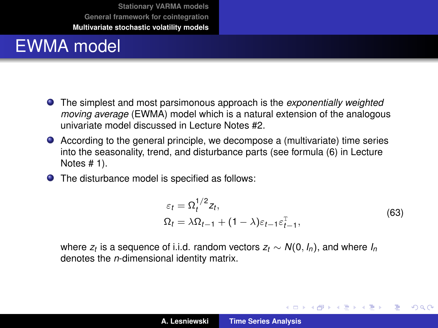#### EWMA model

- The simplest and most parsimonous approach is the *exponentially weighted moving average* (EWMA) model which is a natural extension of the analogous univariate model discussed in Lecture Notes #2.
- According to the general principle, we decompose a (multivariate) time series into the seasonality, trend, and disturbance parts (see formula (6) in Lecture Notes # 1).
- The disturbance model is specified as follows:

$$
\varepsilon_t = \Omega_t^{1/2} z_t,
$$
  
\n
$$
\Omega_t = \lambda \Omega_{t-1} + (1 - \lambda) \varepsilon_{t-1} \varepsilon_{t-1}^{\mathrm{T}},
$$
\n(63)

イロメ イ部メ イヨメ イヨメー

 $299$ ÷.

 $\mathsf{where} \; \mathsf{z}_t$  is a sequence of i.i.d. random vectors  $\mathsf{z}_t \sim \mathsf{N}(0, \mathsf{I}_n),$  and where  $\mathsf{I}_n$ denotes the *n*-dimensional identity matrix.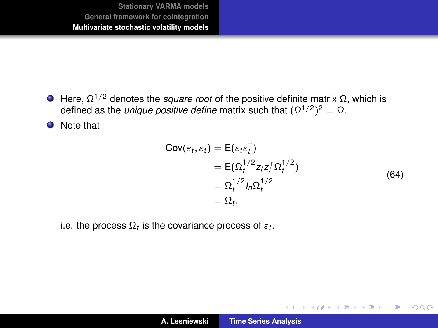$\Theta$  Here,  $\Omega^{1/2}$  denotes the *square root* of the positive definite matrix Ω, which is defined as the *unique positive define* matrix such that  $(Ω<sup>1/2</sup>)<sup>2</sup> = Ω$ .

**O** Note that

$$
Cov(\varepsilon_t, \varepsilon_t) = E(\varepsilon_t \varepsilon_t^{\mathrm{T}})
$$
  
=  $E(\Omega_t^{1/2} z_t z_t^{\mathrm{T}} \Omega_t^{1/2})$   
=  $\Omega_t^{1/2} I_n \Omega_t^{1/2}$   
=  $\Omega_t$ , (64)

イロメ イ部メ イ君メ イ君メー

 $299$ 

重

i.e. the process  $\Omega_t$  is the covariance process of  $\varepsilon_t.$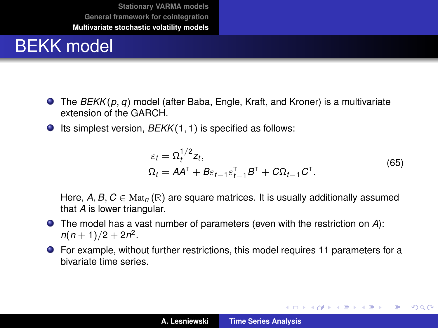#### BEKK model

- The *BEKK*(*p*, *q*) model (after Baba, Engle, Kraft, and Kroner) is a multivariate extension of the GARCH.
- Its simplest version, *BEKK*(1, 1) is specified as follows:

$$
\varepsilon_t = \Omega_t^{1/2} z_t,
$$
  
\n
$$
\Omega_t = A A^{\mathrm{T}} + B \varepsilon_{t-1} \varepsilon_{t-1}^{\mathrm{T}} B^{\mathrm{T}} + C \Omega_{t-1} C^{\mathrm{T}}.
$$
\n(65)

イロメ イ部メ イヨメ イヨメー

 $299$ 

重

Here,  $A, B, C \in \text{Mat}_n(\mathbb{R})$  are square matrices. It is usually additionally assumed that *A* is lower triangular.

- The model has a vast number of parameters (even with the restriction on *A*):  $n(n+1)/2 + 2n^2$ .
- For example, without further restrictions, this model requires 11 parameters for a bivariate time series.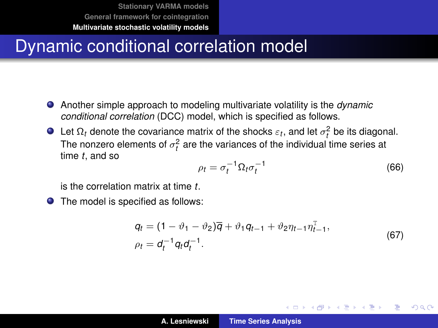#### Dynamic conditional correlation model

- Another simple approach to modeling multivariate volatility is the *dynamic conditional correlation* (DCC) model, which is specified as follows.
- Let  $\Omega_t$  denote the covariance matrix of the shocks  $\varepsilon_t$ , and let  $\sigma_t^2$  be its diagonal. The nonzero elements of  $\sigma_t^2$  are the variances of the individual time series at time *t*, and so

$$
\rho_t = \sigma_t^{-1} \Omega_t \sigma_t^{-1} \tag{66}
$$

(ロトス個) (運) (運)

 $2Q$ 

is the correlation matrix at time *t*.

● The model is specified as follows:

$$
q_t = (1 - \vartheta_1 - \vartheta_2)\overline{q} + \vartheta_1 q_{t-1} + \vartheta_2 \eta_{t-1} \eta_{t-1}^T,
$$
  
\n
$$
\rho_t = d_t^{-1} q_t d_t^{-1}.
$$
\n(67)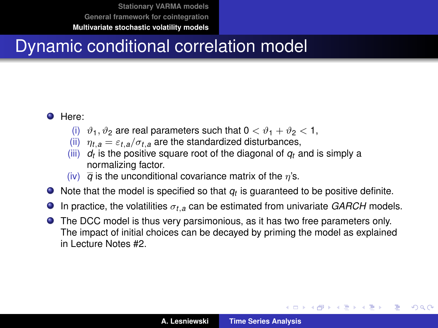**[Stationary VARMA models](#page-2-0) [General framework for cointegration](#page-30-0)**

**[Multivariate stochastic volatility models](#page-50-0)**

#### Dynamic conditional correlation model

#### **O** Here:

- (i)  $\vartheta_1, \vartheta_2$  are real parameters such that  $0 < \vartheta_1 + \vartheta_2 < 1$ ,
- (ii)  $\eta_{t,a} = \varepsilon_{t,a}/\sigma_{t,a}$  are the standardized disturbances,
- $(iii)$   $d_t$  is the positive square root of the diagonal of  $q_t$  and is simply a normalizing factor.
- (iv)  $\overline{q}$  is the unconditional covariance matrix of the  $\eta$ 's.
- Note that the model is specified so that  $q_t$  is guaranteed to be positive definite.
- In practice, the volatilities σ*t*,*<sup>a</sup>* can be estimated from univariate *GARCH* models.  $\bullet$
- The DCC model is thus very parsimonious, as it has two free parameters only. The impact of initial choices can be decayed by priming the model as explained in Lecture Notes #2.

(ロトス個) (運) (運)

 $298$